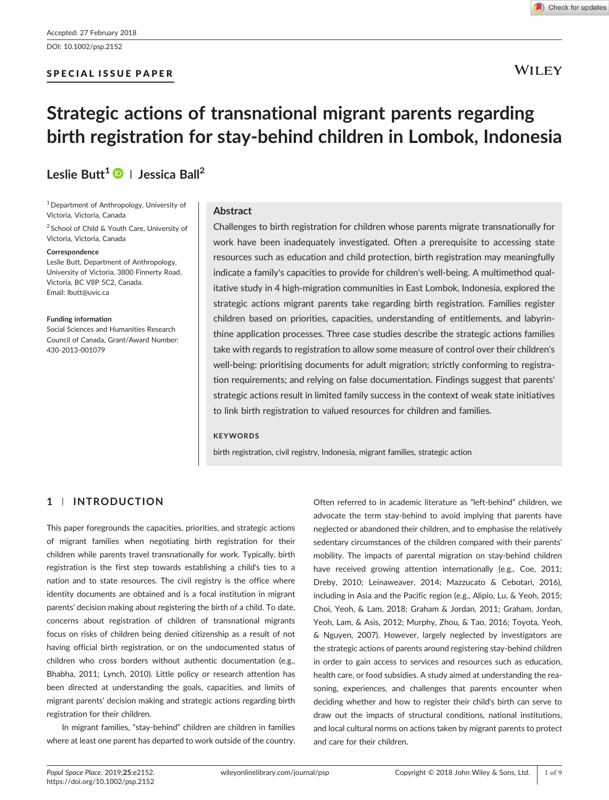### SPECIAL ISSUE PAPER

# **WILEY**

# Strategic actions of transnational migrant parents regarding birth registration for stay‐behind children in Lombok, Indonesia

# Leslie Butt<sup>1</sup>  $\bigcirc$  | Jessica Ball<sup>2</sup>

<sup>1</sup> Department of Anthropology, University of Victoria, Victoria, Canada

<sup>2</sup> School of Child & Youth Care, University of Victoria, Victoria, Canada

#### Correspondence

Leslie Butt, Department of Anthropology, University of Victoria, 3800 Finnerty Road, Victoria, BC V8P 5C2, Canada. Email: [lbutt@uvic.ca](mailto:lbutt@uvic.ca)

#### Funding information

Social Sciences and Humanities Research Council of Canada, Grant/Award Number: 430‐2013‐001079

### Abstract

Challenges to birth registration for children whose parents migrate transnationally for work have been inadequately investigated. Often a prerequisite to accessing state resources such as education and child protection, birth registration may meaningfully indicate a family's capacities to provide for children's well‐being. A multimethod qualitative study in 4 high‐migration communities in East Lombok, Indonesia, explored the strategic actions migrant parents take regarding birth registration. Families register children based on priorities, capacities, understanding of entitlements, and labyrinthine application processes. Three case studies describe the strategic actions families take with regards to registration to allow some measure of control over their children's well-being: prioritising documents for adult migration; strictly conforming to registration requirements; and relying on false documentation. Findings suggest that parents' strategic actions result in limited family success in the context of weak state initiatives to link birth registration to valued resources for children and families.

#### **KEYWORDS**

birth registration, civil registry, Indonesia, migrant families, strategic action

# 1 | INTRODUCTION

This paper foregrounds the capacities, priorities, and strategic actions of migrant families when negotiating birth registration for their children while parents travel transnationally for work. Typically, birth registration is the first step towards establishing a child's ties to a nation and to state resources. The civil registry is the office where identity documents are obtained and is a focal institution in migrant parents' decision making about registering the birth of a child. To date, concerns about registration of children of transnational migrants focus on risks of children being denied citizenship as a result of not having official birth registration, or on the undocumented status of children who cross borders without authentic documentation (e.g., Bhabha, 2011; Lynch, 2010). Little policy or research attention has been directed at understanding the goals, capacities, and limits of migrant parents' decision making and strategic actions regarding birth registration for their children.

In migrant families, "stay‐behind" children are children in families where at least one parent has departed to work outside of the country.

Often referred to in academic literature as "left‐behind" children, we advocate the term stay‐behind to avoid implying that parents have neglected or abandoned their children, and to emphasise the relatively sedentary circumstances of the children compared with their parents' mobility. The impacts of parental migration on stay‐behind children have received growing attention internationally (e.g., Coe, 2011; Dreby, 2010; Leinaweaver, 2014; Mazzucato & Cebotari, 2016), including in Asia and the Pacific region (e.g., Alipio, Lu, & Yeoh, 2015; Choi, Yeoh, & Lam, 2018; Graham & Jordan, 2011; Graham, Jordan, Yeoh, Lam, & Asis, 2012; Murphy, Zhou, & Tao, 2016; Toyota, Yeoh, & Nguyen, 2007). However, largely neglected by investigators are the strategic actions of parents around registering stay‐behind children in order to gain access to services and resources such as education, health care, or food subsidies. A study aimed at understanding the reasoning, experiences, and challenges that parents encounter when deciding whether and how to register their child's birth can serve to draw out the impacts of structural conditions, national institutions, and local cultural norms on actions taken by migrant parents to protect and care for their children.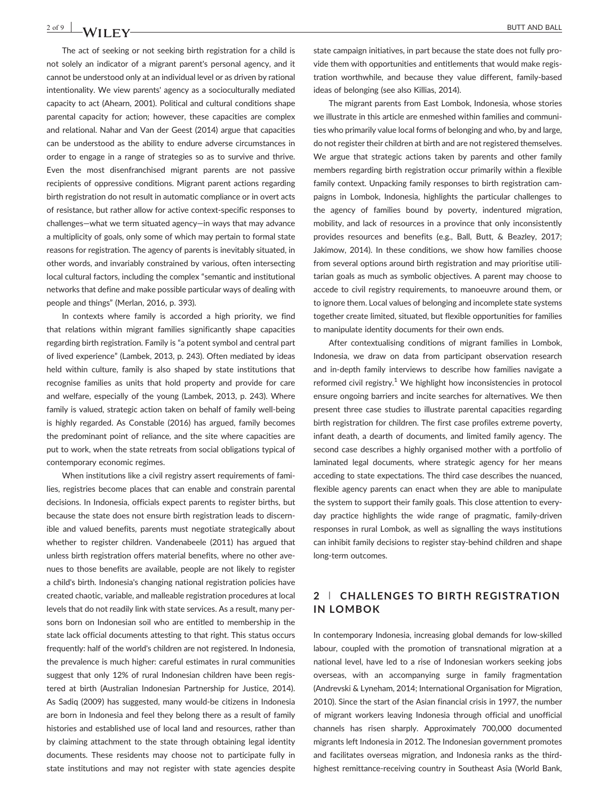The act of seeking or not seeking birth registration for a child is not solely an indicator of a migrant parent's personal agency, and it cannot be understood only at an individual level or as driven by rational intentionality. We view parents' agency as a socioculturally mediated capacity to act (Ahearn, 2001). Political and cultural conditions shape parental capacity for action; however, these capacities are complex and relational. Nahar and Van der Geest (2014) argue that capacities can be understood as the ability to endure adverse circumstances in order to engage in a range of strategies so as to survive and thrive. Even the most disenfranchised migrant parents are not passive recipients of oppressive conditions. Migrant parent actions regarding birth registration do not result in automatic compliance or in overt acts of resistance, but rather allow for active context‐specific responses to challenges—what we term situated agency—in ways that may advance a multiplicity of goals, only some of which may pertain to formal state reasons for registration. The agency of parents is inevitably situated, in other words, and invariably constrained by various, often intersecting local cultural factors, including the complex "semantic and institutional networks that define and make possible particular ways of dealing with people and things" (Merlan, 2016, p. 393).

In contexts where family is accorded a high priority, we find that relations within migrant families significantly shape capacities regarding birth registration. Family is "a potent symbol and central part of lived experience" (Lambek, 2013, p. 243). Often mediated by ideas held within culture, family is also shaped by state institutions that recognise families as units that hold property and provide for care and welfare, especially of the young (Lambek, 2013, p. 243). Where family is valued, strategic action taken on behalf of family well‐being is highly regarded. As Constable (2016) has argued, family becomes the predominant point of reliance, and the site where capacities are put to work, when the state retreats from social obligations typical of contemporary economic regimes.

When institutions like a civil registry assert requirements of families, registries become places that can enable and constrain parental decisions. In Indonesia, officials expect parents to register births, but because the state does not ensure birth registration leads to discernible and valued benefits, parents must negotiate strategically about whether to register children. Vandenabeele (2011) has argued that unless birth registration offers material benefits, where no other avenues to those benefits are available, people are not likely to register a child's birth. Indonesia's changing national registration policies have created chaotic, variable, and malleable registration procedures at local levels that do not readily link with state services. As a result, many persons born on Indonesian soil who are entitled to membership in the state lack official documents attesting to that right. This status occurs frequently: half of the world's children are not registered. In Indonesia, the prevalence is much higher: careful estimates in rural communities suggest that only 12% of rural Indonesian children have been registered at birth (Australian Indonesian Partnership for Justice, 2014). As Sadiq (2009) has suggested, many would‐be citizens in Indonesia are born in Indonesia and feel they belong there as a result of family histories and established use of local land and resources, rather than by claiming attachment to the state through obtaining legal identity documents. These residents may choose not to participate fully in state institutions and may not register with state agencies despite

state campaign initiatives, in part because the state does not fully provide them with opportunities and entitlements that would make registration worthwhile, and because they value different, family‐based ideas of belonging (see also Killias, 2014).

The migrant parents from East Lombok, Indonesia, whose stories we illustrate in this article are enmeshed within families and communities who primarily value local forms of belonging and who, by and large, do not register their children at birth and are not registered themselves. We argue that strategic actions taken by parents and other family members regarding birth registration occur primarily within a flexible family context. Unpacking family responses to birth registration campaigns in Lombok, Indonesia, highlights the particular challenges to the agency of families bound by poverty, indentured migration, mobility, and lack of resources in a province that only inconsistently provides resources and benefits (e.g., Ball, Butt, & Beazley, 2017; Jakimow, 2014). In these conditions, we show how families choose from several options around birth registration and may prioritise utilitarian goals as much as symbolic objectives. A parent may choose to accede to civil registry requirements, to manoeuvre around them, or to ignore them. Local values of belonging and incomplete state systems together create limited, situated, but flexible opportunities for families to manipulate identity documents for their own ends.

After contextualising conditions of migrant families in Lombok, Indonesia, we draw on data from participant observation research and in‐depth family interviews to describe how families navigate a reformed civil registry.<sup>1</sup> We highlight how inconsistencies in protocol ensure ongoing barriers and incite searches for alternatives. We then present three case studies to illustrate parental capacities regarding birth registration for children. The first case profiles extreme poverty, infant death, a dearth of documents, and limited family agency. The second case describes a highly organised mother with a portfolio of laminated legal documents, where strategic agency for her means acceding to state expectations. The third case describes the nuanced, flexible agency parents can enact when they are able to manipulate the system to support their family goals. This close attention to everyday practice highlights the wide range of pragmatic, family‐driven responses in rural Lombok, as well as signalling the ways institutions can inhibit family decisions to register stay‐behind children and shape long‐term outcomes.

# 2 | CHALLENGES TO BIRTH REGISTRATION IN LOMBOK

In contemporary Indonesia, increasing global demands for low‐skilled labour, coupled with the promotion of transnational migration at a national level, have led to a rise of Indonesian workers seeking jobs overseas, with an accompanying surge in family fragmentation (Andrevski & Lyneham, 2014; International Organisation for Migration, 2010). Since the start of the Asian financial crisis in 1997, the number of migrant workers leaving Indonesia through official and unofficial channels has risen sharply. Approximately 700,000 documented migrants left Indonesia in 2012. The Indonesian government promotes and facilitates overseas migration, and Indonesia ranks as the thirdhighest remittance‐receiving country in Southeast Asia (World Bank,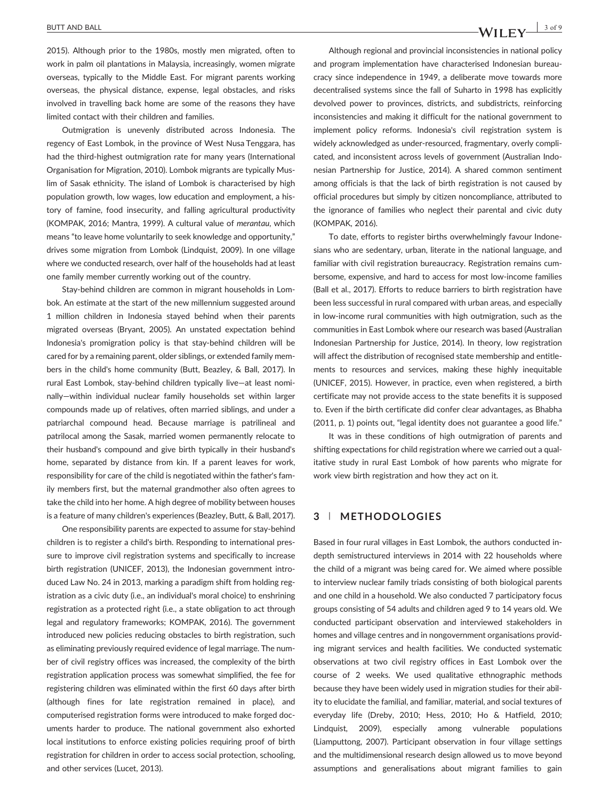# BUTT AND BALL  $\frac{3 \text{ of } 9}{3 \text{ of } 9}$

2015). Although prior to the 1980s, mostly men migrated, often to work in palm oil plantations in Malaysia, increasingly, women migrate overseas, typically to the Middle East. For migrant parents working overseas, the physical distance, expense, legal obstacles, and risks involved in travelling back home are some of the reasons they have limited contact with their children and families.

Outmigration is unevenly distributed across Indonesia. The regency of East Lombok, in the province of West Nusa Tenggara, has had the third-highest outmigration rate for many years (International Organisation for Migration, 2010). Lombok migrants are typically Muslim of Sasak ethnicity. The island of Lombok is characterised by high population growth, low wages, low education and employment, a history of famine, food insecurity, and falling agricultural productivity (KOMPAK, 2016; Mantra, 1999). A cultural value of merantau, which means "to leave home voluntarily to seek knowledge and opportunity," drives some migration from Lombok (Lindquist, 2009). In one village where we conducted research, over half of the households had at least one family member currently working out of the country.

Stay‐behind children are common in migrant households in Lombok. An estimate at the start of the new millennium suggested around 1 million children in Indonesia stayed behind when their parents migrated overseas (Bryant, 2005). An unstated expectation behind Indonesia's promigration policy is that stay‐behind children will be cared for by a remaining parent, older siblings, or extended family members in the child's home community (Butt, Beazley, & Ball, 2017). In rural East Lombok, stay‐behind children typically live—at least nominally—within individual nuclear family households set within larger compounds made up of relatives, often married siblings, and under a patriarchal compound head. Because marriage is patrilineal and patrilocal among the Sasak, married women permanently relocate to their husband's compound and give birth typically in their husband's home, separated by distance from kin. If a parent leaves for work, responsibility for care of the child is negotiated within the father's family members first, but the maternal grandmother also often agrees to take the child into her home. A high degree of mobility between houses is a feature of many children's experiences (Beazley, Butt, & Ball, 2017).

One responsibility parents are expected to assume for stay‐behind children is to register a child's birth. Responding to international pressure to improve civil registration systems and specifically to increase birth registration (UNICEF, 2013), the Indonesian government introduced Law No. 24 in 2013, marking a paradigm shift from holding registration as a civic duty (i.e., an individual's moral choice) to enshrining registration as a protected right (i.e., a state obligation to act through legal and regulatory frameworks; KOMPAK, 2016). The government introduced new policies reducing obstacles to birth registration, such as eliminating previously required evidence of legal marriage. The number of civil registry offices was increased, the complexity of the birth registration application process was somewhat simplified, the fee for registering children was eliminated within the first 60 days after birth (although fines for late registration remained in place), and computerised registration forms were introduced to make forged documents harder to produce. The national government also exhorted local institutions to enforce existing policies requiring proof of birth registration for children in order to access social protection, schooling, and other services (Lucet, 2013).

Although regional and provincial inconsistencies in national policy and program implementation have characterised Indonesian bureaucracy since independence in 1949, a deliberate move towards more decentralised systems since the fall of Suharto in 1998 has explicitly devolved power to provinces, districts, and subdistricts, reinforcing inconsistencies and making it difficult for the national government to implement policy reforms. Indonesia's civil registration system is widely acknowledged as under‐resourced, fragmentary, overly complicated, and inconsistent across levels of government (Australian Indonesian Partnership for Justice, 2014). A shared common sentiment among officials is that the lack of birth registration is not caused by official procedures but simply by citizen noncompliance, attributed to the ignorance of families who neglect their parental and civic duty (KOMPAK, 2016).

To date, efforts to register births overwhelmingly favour Indonesians who are sedentary, urban, literate in the national language, and familiar with civil registration bureaucracy. Registration remains cumbersome, expensive, and hard to access for most low‐income families (Ball et al., 2017). Efforts to reduce barriers to birth registration have been less successful in rural compared with urban areas, and especially in low‐income rural communities with high outmigration, such as the communities in East Lombok where our research was based (Australian Indonesian Partnership for Justice, 2014). In theory, low registration will affect the distribution of recognised state membership and entitlements to resources and services, making these highly inequitable (UNICEF, 2015). However, in practice, even when registered, a birth certificate may not provide access to the state benefits it is supposed to. Even if the birth certificate did confer clear advantages, as Bhabha (2011, p. 1) points out, "legal identity does not guarantee a good life."

It was in these conditions of high outmigration of parents and shifting expectations for child registration where we carried out a qualitative study in rural East Lombok of how parents who migrate for work view birth registration and how they act on it.

#### 3 | METHODOLOGIES

Based in four rural villages in East Lombok, the authors conducted in‐ depth semistructured interviews in 2014 with 22 households where the child of a migrant was being cared for. We aimed where possible to interview nuclear family triads consisting of both biological parents and one child in a household. We also conducted 7 participatory focus groups consisting of 54 adults and children aged 9 to 14 years old. We conducted participant observation and interviewed stakeholders in homes and village centres and in nongovernment organisations providing migrant services and health facilities. We conducted systematic observations at two civil registry offices in East Lombok over the course of 2 weeks. We used qualitative ethnographic methods because they have been widely used in migration studies for their ability to elucidate the familial, and familiar, material, and social textures of everyday life (Dreby, 2010; Hess, 2010; Ho & Hatfield, 2010; Lindquist, 2009), especially among vulnerable populations (Liamputtong, 2007). Participant observation in four village settings and the multidimensional research design allowed us to move beyond assumptions and generalisations about migrant families to gain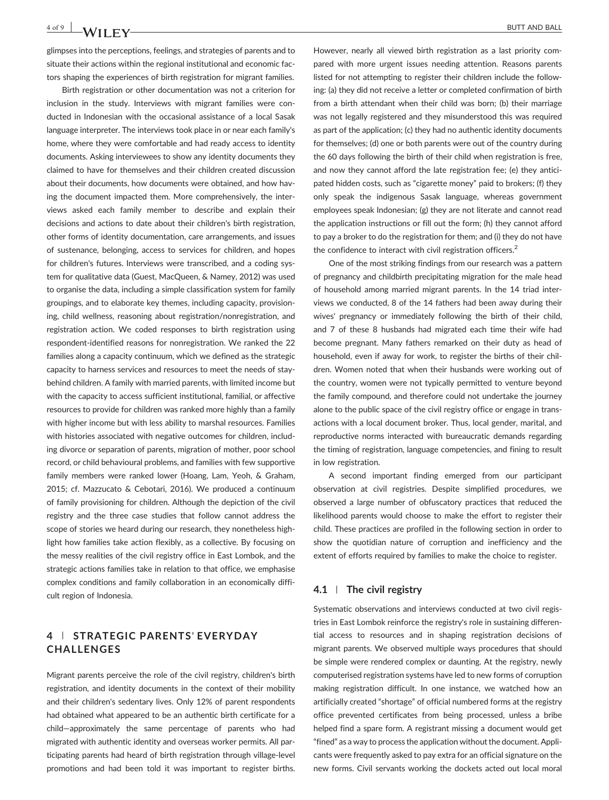glimpses into the perceptions, feelings, and strategies of parents and to situate their actions within the regional institutional and economic factors shaping the experiences of birth registration for migrant families.

Birth registration or other documentation was not a criterion for inclusion in the study. Interviews with migrant families were conducted in Indonesian with the occasional assistance of a local Sasak language interpreter. The interviews took place in or near each family's home, where they were comfortable and had ready access to identity documents. Asking interviewees to show any identity documents they claimed to have for themselves and their children created discussion about their documents, how documents were obtained, and how having the document impacted them. More comprehensively, the interviews asked each family member to describe and explain their decisions and actions to date about their children's birth registration, other forms of identity documentation, care arrangements, and issues of sustenance, belonging, access to services for children, and hopes for children's futures. Interviews were transcribed, and a coding system for qualitative data (Guest, MacQueen, & Namey, 2012) was used to organise the data, including a simple classification system for family groupings, and to elaborate key themes, including capacity, provisioning, child wellness, reasoning about registration/nonregistration, and registration action. We coded responses to birth registration using respondent-identified reasons for nonregistration. We ranked the 22 families along a capacity continuum, which we defined as the strategic capacity to harness services and resources to meet the needs of stay‐ behind children. A family with married parents, with limited income but with the capacity to access sufficient institutional, familial, or affective resources to provide for children was ranked more highly than a family with higher income but with less ability to marshal resources. Families with histories associated with negative outcomes for children, including divorce or separation of parents, migration of mother, poor school record, or child behavioural problems, and families with few supportive family members were ranked lower (Hoang, Lam, Yeoh, & Graham, 2015; cf. Mazzucato & Cebotari, 2016). We produced a continuum of family provisioning for children. Although the depiction of the civil registry and the three case studies that follow cannot address the scope of stories we heard during our research, they nonetheless highlight how families take action flexibly, as a collective. By focusing on the messy realities of the civil registry office in East Lombok, and the strategic actions families take in relation to that office, we emphasise complex conditions and family collaboration in an economically difficult region of Indonesia.

# 4 | STRATEGIC PARENTS' EVERYDAY CHALLENGES

Migrant parents perceive the role of the civil registry, children's birth registration, and identity documents in the context of their mobility and their children's sedentary lives. Only 12% of parent respondents had obtained what appeared to be an authentic birth certificate for a child—approximately the same percentage of parents who had migrated with authentic identity and overseas worker permits. All participating parents had heard of birth registration through village‐level promotions and had been told it was important to register births. However, nearly all viewed birth registration as a last priority compared with more urgent issues needing attention. Reasons parents listed for not attempting to register their children include the following: (a) they did not receive a letter or completed confirmation of birth from a birth attendant when their child was born; (b) their marriage was not legally registered and they misunderstood this was required as part of the application; (c) they had no authentic identity documents for themselves; (d) one or both parents were out of the country during the 60 days following the birth of their child when registration is free, and now they cannot afford the late registration fee; (e) they anticipated hidden costs, such as "cigarette money" paid to brokers; (f) they only speak the indigenous Sasak language, whereas government employees speak Indonesian; (g) they are not literate and cannot read the application instructions or fill out the form; (h) they cannot afford to pay a broker to do the registration for them; and (i) they do not have the confidence to interact with civil registration officers.<sup>2</sup>

One of the most striking findings from our research was a pattern of pregnancy and childbirth precipitating migration for the male head of household among married migrant parents. In the 14 triad interviews we conducted, 8 of the 14 fathers had been away during their wives' pregnancy or immediately following the birth of their child, and 7 of these 8 husbands had migrated each time their wife had become pregnant. Many fathers remarked on their duty as head of household, even if away for work, to register the births of their children. Women noted that when their husbands were working out of the country, women were not typically permitted to venture beyond the family compound, and therefore could not undertake the journey alone to the public space of the civil registry office or engage in transactions with a local document broker. Thus, local gender, marital, and reproductive norms interacted with bureaucratic demands regarding the timing of registration, language competencies, and fining to result in low registration.

A second important finding emerged from our participant observation at civil registries. Despite simplified procedures, we observed a large number of obfuscatory practices that reduced the likelihood parents would choose to make the effort to register their child. These practices are profiled in the following section in order to show the quotidian nature of corruption and inefficiency and the extent of efforts required by families to make the choice to register.

#### $4.1$  | The civil registry

Systematic observations and interviews conducted at two civil registries in East Lombok reinforce the registry's role in sustaining differential access to resources and in shaping registration decisions of migrant parents. We observed multiple ways procedures that should be simple were rendered complex or daunting. At the registry, newly computerised registration systems have led to new forms of corruption making registration difficult. In one instance, we watched how an artificially created "shortage" of official numbered forms at the registry office prevented certificates from being processed, unless a bribe helped find a spare form. A registrant missing a document would get "fined" as a way to process the application without the document. Applicants were frequently asked to pay extra for an official signature on the new forms. Civil servants working the dockets acted out local moral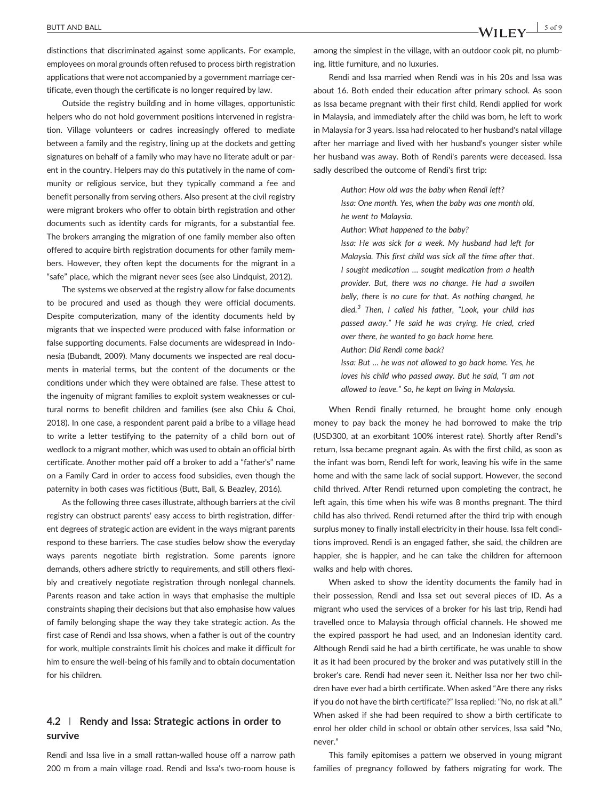distinctions that discriminated against some applicants. For example, employees on moral grounds often refused to process birth registration applications that were not accompanied by a government marriage certificate, even though the certificate is no longer required by law.

Outside the registry building and in home villages, opportunistic helpers who do not hold government positions intervened in registration. Village volunteers or cadres increasingly offered to mediate between a family and the registry, lining up at the dockets and getting signatures on behalf of a family who may have no literate adult or parent in the country. Helpers may do this putatively in the name of community or religious service, but they typically command a fee and benefit personally from serving others. Also present at the civil registry were migrant brokers who offer to obtain birth registration and other documents such as identity cards for migrants, for a substantial fee. The brokers arranging the migration of one family member also often offered to acquire birth registration documents for other family members. However, they often kept the documents for the migrant in a "safe" place, which the migrant never sees (see also Lindquist, 2012).

The systems we observed at the registry allow for false documents to be procured and used as though they were official documents. Despite computerization, many of the identity documents held by migrants that we inspected were produced with false information or false supporting documents. False documents are widespread in Indonesia (Bubandt, 2009). Many documents we inspected are real documents in material terms, but the content of the documents or the conditions under which they were obtained are false. These attest to the ingenuity of migrant families to exploit system weaknesses or cultural norms to benefit children and families (see also Chiu & Choi, 2018). In one case, a respondent parent paid a bribe to a village head to write a letter testifying to the paternity of a child born out of wedlock to a migrant mother, which was used to obtain an official birth certificate. Another mother paid off a broker to add a "father's" name on a Family Card in order to access food subsidies, even though the paternity in both cases was fictitious (Butt, Ball, & Beazley, 2016).

As the following three cases illustrate, although barriers at the civil registry can obstruct parents' easy access to birth registration, different degrees of strategic action are evident in the ways migrant parents respond to these barriers. The case studies below show the everyday ways parents negotiate birth registration. Some parents ignore demands, others adhere strictly to requirements, and still others flexibly and creatively negotiate registration through nonlegal channels. Parents reason and take action in ways that emphasise the multiple constraints shaping their decisions but that also emphasise how values of family belonging shape the way they take strategic action. As the first case of Rendi and Issa shows, when a father is out of the country for work, multiple constraints limit his choices and make it difficult for him to ensure the well-being of his family and to obtain documentation for his children.

# 4.2 | Rendy and Issa: Strategic actions in order to survive

Rendi and Issa live in a small rattan‐walled house off a narrow path 200 m from a main village road. Rendi and Issa's two‐room house is among the simplest in the village, with an outdoor cook pit, no plumbing, little furniture, and no luxuries.

Rendi and Issa married when Rendi was in his 20s and Issa was about 16. Both ended their education after primary school. As soon as Issa became pregnant with their first child, Rendi applied for work in Malaysia, and immediately after the child was born, he left to work in Malaysia for 3 years. Issa had relocated to her husband's natal village after her marriage and lived with her husband's younger sister while her husband was away. Both of Rendi's parents were deceased. Issa sadly described the outcome of Rendi's first trip:

> Author: How old was the baby when Rendi left? Issa: One month. Yes, when the baby was one month old, he went to Malaysia.

Author: What happened to the baby?

Issa: He was sick for a week. My husband had left for Malaysia. This first child was sick all the time after that. I sought medication … sought medication from a health provider. But, there was no change. He had a swollen belly, there is no cure for that. As nothing changed, he died. $3$  Then, I called his father, "Look, your child has passed away." He said he was crying. He cried, cried over there, he wanted to go back home here. Author: Did Rendi come back?

Issa: But … he was not allowed to go back home. Yes, he loves his child who passed away. But he said, "I am not allowed to leave." So, he kept on living in Malaysia.

When Rendi finally returned, he brought home only enough money to pay back the money he had borrowed to make the trip (USD300, at an exorbitant 100% interest rate). Shortly after Rendi's return, Issa became pregnant again. As with the first child, as soon as the infant was born, Rendi left for work, leaving his wife in the same home and with the same lack of social support. However, the second child thrived. After Rendi returned upon completing the contract, he left again, this time when his wife was 8 months pregnant. The third child has also thrived. Rendi returned after the third trip with enough surplus money to finally install electricity in their house. Issa felt conditions improved. Rendi is an engaged father, she said, the children are happier, she is happier, and he can take the children for afternoon walks and help with chores.

When asked to show the identity documents the family had in their possession, Rendi and Issa set out several pieces of ID. As a migrant who used the services of a broker for his last trip, Rendi had travelled once to Malaysia through official channels. He showed me the expired passport he had used, and an Indonesian identity card. Although Rendi said he had a birth certificate, he was unable to show it as it had been procured by the broker and was putatively still in the broker's care. Rendi had never seen it. Neither Issa nor her two children have ever had a birth certificate. When asked "Are there any risks if you do not have the birth certificate?" Issa replied: "No, no risk at all." When asked if she had been required to show a birth certificate to enrol her older child in school or obtain other services, Issa said "No, never."

This family epitomises a pattern we observed in young migrant families of pregnancy followed by fathers migrating for work. The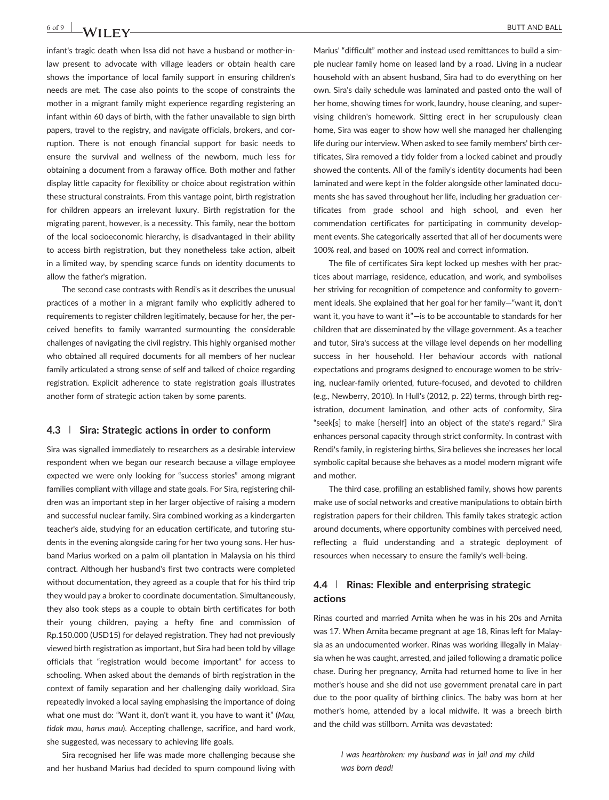infant's tragic death when Issa did not have a husband or mother‐in‐ law present to advocate with village leaders or obtain health care shows the importance of local family support in ensuring children's needs are met. The case also points to the scope of constraints the mother in a migrant family might experience regarding registering an infant within 60 days of birth, with the father unavailable to sign birth papers, travel to the registry, and navigate officials, brokers, and corruption. There is not enough financial support for basic needs to ensure the survival and wellness of the newborn, much less for obtaining a document from a faraway office. Both mother and father display little capacity for flexibility or choice about registration within these structural constraints. From this vantage point, birth registration for children appears an irrelevant luxury. Birth registration for the migrating parent, however, is a necessity. This family, near the bottom of the local socioeconomic hierarchy, is disadvantaged in their ability to access birth registration, but they nonetheless take action, albeit in a limited way, by spending scarce funds on identity documents to allow the father's migration.

The second case contrasts with Rendi's as it describes the unusual practices of a mother in a migrant family who explicitly adhered to requirements to register children legitimately, because for her, the perceived benefits to family warranted surmounting the considerable challenges of navigating the civil registry. This highly organised mother who obtained all required documents for all members of her nuclear family articulated a strong sense of self and talked of choice regarding registration. Explicit adherence to state registration goals illustrates another form of strategic action taken by some parents.

#### 4.3 | Sira: Strategic actions in order to conform

Sira was signalled immediately to researchers as a desirable interview respondent when we began our research because a village employee expected we were only looking for "success stories" among migrant families compliant with village and state goals. For Sira, registering children was an important step in her larger objective of raising a modern and successful nuclear family. Sira combined working as a kindergarten teacher's aide, studying for an education certificate, and tutoring students in the evening alongside caring for her two young sons. Her husband Marius worked on a palm oil plantation in Malaysia on his third contract. Although her husband's first two contracts were completed without documentation, they agreed as a couple that for his third trip they would pay a broker to coordinate documentation. Simultaneously, they also took steps as a couple to obtain birth certificates for both their young children, paying a hefty fine and commission of Rp.150.000 (USD15) for delayed registration. They had not previously viewed birth registration as important, but Sira had been told by village officials that "registration would become important" for access to schooling. When asked about the demands of birth registration in the context of family separation and her challenging daily workload, Sira repeatedly invoked a local saying emphasising the importance of doing what one must do: "Want it, don't want it, you have to want it" (Mau, tidak mau, harus mau). Accepting challenge, sacrifice, and hard work, she suggested, was necessary to achieving life goals.

Sira recognised her life was made more challenging because she and her husband Marius had decided to spurn compound living with

Marius' "difficult" mother and instead used remittances to build a simple nuclear family home on leased land by a road. Living in a nuclear household with an absent husband, Sira had to do everything on her own. Sira's daily schedule was laminated and pasted onto the wall of her home, showing times for work, laundry, house cleaning, and supervising children's homework. Sitting erect in her scrupulously clean home, Sira was eager to show how well she managed her challenging life during our interview. When asked to see family members' birth certificates, Sira removed a tidy folder from a locked cabinet and proudly showed the contents. All of the family's identity documents had been laminated and were kept in the folder alongside other laminated documents she has saved throughout her life, including her graduation certificates from grade school and high school, and even her commendation certificates for participating in community development events. She categorically asserted that all of her documents were 100% real, and based on 100% real and correct information.

The file of certificates Sira kept locked up meshes with her practices about marriage, residence, education, and work, and symbolises her striving for recognition of competence and conformity to government ideals. She explained that her goal for her family—"want it, don't want it, you have to want it"—is to be accountable to standards for her children that are disseminated by the village government. As a teacher and tutor, Sira's success at the village level depends on her modelling success in her household. Her behaviour accords with national expectations and programs designed to encourage women to be striving, nuclear‐family oriented, future‐focused, and devoted to children (e.g., Newberry, 2010). In Hull's (2012, p. 22) terms, through birth registration, document lamination, and other acts of conformity, Sira "seek[s] to make [herself] into an object of the state's regard." Sira enhances personal capacity through strict conformity. In contrast with Rendi's family, in registering births, Sira believes she increases her local symbolic capital because she behaves as a model modern migrant wife and mother.

The third case, profiling an established family, shows how parents make use of social networks and creative manipulations to obtain birth registration papers for their children. This family takes strategic action around documents, where opportunity combines with perceived need, reflecting a fluid understanding and a strategic deployment of resources when necessary to ensure the family's well‐being.

### 4.4 | Rinas: Flexible and enterprising strategic actions

Rinas courted and married Arnita when he was in his 20s and Arnita was 17. When Arnita became pregnant at age 18, Rinas left for Malaysia as an undocumented worker. Rinas was working illegally in Malaysia when he was caught, arrested, and jailed following a dramatic police chase. During her pregnancy, Arnita had returned home to live in her mother's house and she did not use government prenatal care in part due to the poor quality of birthing clinics. The baby was born at her mother's home, attended by a local midwife. It was a breech birth and the child was stillborn. Arnita was devastated:

> I was heartbroken: my husband was in jail and my child was born dead!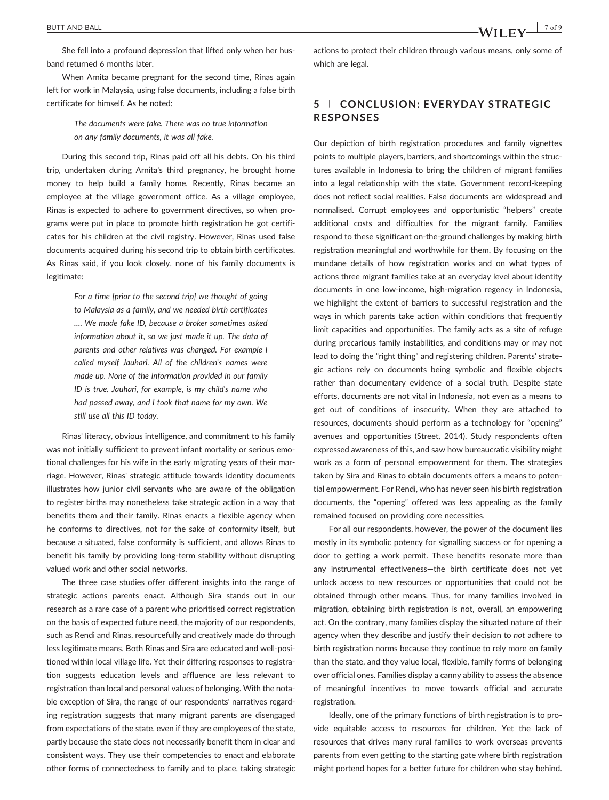She fell into a profound depression that lifted only when her husband returned 6 months later.

When Arnita became pregnant for the second time, Rinas again left for work in Malaysia, using false documents, including a false birth certificate for himself. As he noted:

> The documents were fake. There was no true information on any family documents, it was all fake.

During this second trip, Rinas paid off all his debts. On his third trip, undertaken during Arnita's third pregnancy, he brought home money to help build a family home. Recently, Rinas became an employee at the village government office. As a village employee, Rinas is expected to adhere to government directives, so when programs were put in place to promote birth registration he got certificates for his children at the civil registry. However, Rinas used false documents acquired during his second trip to obtain birth certificates. As Rinas said, if you look closely, none of his family documents is legitimate:

> For a time [prior to the second trip] we thought of going to Malaysia as a family, and we needed birth certificates …. We made fake ID, because a broker sometimes asked information about it, so we just made it up. The data of parents and other relatives was changed. For example I called myself Jauhari. All of the children's names were made up. None of the information provided in our family ID is true. Jauhari, for example, is my child's name who had passed away, and I took that name for my own. We still use all this ID today.

Rinas' literacy, obvious intelligence, and commitment to his family was not initially sufficient to prevent infant mortality or serious emotional challenges for his wife in the early migrating years of their marriage. However, Rinas' strategic attitude towards identity documents illustrates how junior civil servants who are aware of the obligation to register births may nonetheless take strategic action in a way that benefits them and their family. Rinas enacts a flexible agency when he conforms to directives, not for the sake of conformity itself, but because a situated, false conformity is sufficient, and allows Rinas to benefit his family by providing long‐term stability without disrupting valued work and other social networks.

The three case studies offer different insights into the range of strategic actions parents enact. Although Sira stands out in our research as a rare case of a parent who prioritised correct registration on the basis of expected future need, the majority of our respondents, such as Rendi and Rinas, resourcefully and creatively made do through less legitimate means. Both Rinas and Sira are educated and well‐positioned within local village life. Yet their differing responses to registration suggests education levels and affluence are less relevant to registration than local and personal values of belonging. With the notable exception of Sira, the range of our respondents' narratives regarding registration suggests that many migrant parents are disengaged from expectations of the state, even if they are employees of the state, partly because the state does not necessarily benefit them in clear and consistent ways. They use their competencies to enact and elaborate other forms of connectedness to family and to place, taking strategic

actions to protect their children through various means, only some of which are legal.

## 5 | CONCLUSION: EVERYDAY STRATEGIC RESPONSES

Our depiction of birth registration procedures and family vignettes points to multiple players, barriers, and shortcomings within the structures available in Indonesia to bring the children of migrant families into a legal relationship with the state. Government record‐keeping does not reflect social realities. False documents are widespread and normalised. Corrupt employees and opportunistic "helpers" create additional costs and difficulties for the migrant family. Families respond to these significant on-the-ground challenges by making birth registration meaningful and worthwhile for them. By focusing on the mundane details of how registration works and on what types of actions three migrant families take at an everyday level about identity documents in one low‐income, high‐migration regency in Indonesia, we highlight the extent of barriers to successful registration and the ways in which parents take action within conditions that frequently limit capacities and opportunities. The family acts as a site of refuge during precarious family instabilities, and conditions may or may not lead to doing the "right thing" and registering children. Parents' strategic actions rely on documents being symbolic and flexible objects rather than documentary evidence of a social truth. Despite state efforts, documents are not vital in Indonesia, not even as a means to get out of conditions of insecurity. When they are attached to resources, documents should perform as a technology for "opening" avenues and opportunities (Street, 2014). Study respondents often expressed awareness of this, and saw how bureaucratic visibility might work as a form of personal empowerment for them. The strategies taken by Sira and Rinas to obtain documents offers a means to potential empowerment. For Rendi, who has never seen his birth registration documents, the "opening" offered was less appealing as the family remained focused on providing core necessities.

For all our respondents, however, the power of the document lies mostly in its symbolic potency for signalling success or for opening a door to getting a work permit. These benefits resonate more than any instrumental effectiveness—the birth certificate does not yet unlock access to new resources or opportunities that could not be obtained through other means. Thus, for many families involved in migration, obtaining birth registration is not, overall, an empowering act. On the contrary, many families display the situated nature of their agency when they describe and justify their decision to not adhere to birth registration norms because they continue to rely more on family than the state, and they value local, flexible, family forms of belonging over official ones. Families display a canny ability to assess the absence of meaningful incentives to move towards official and accurate registration.

Ideally, one of the primary functions of birth registration is to provide equitable access to resources for children. Yet the lack of resources that drives many rural families to work overseas prevents parents from even getting to the starting gate where birth registration might portend hopes for a better future for children who stay behind.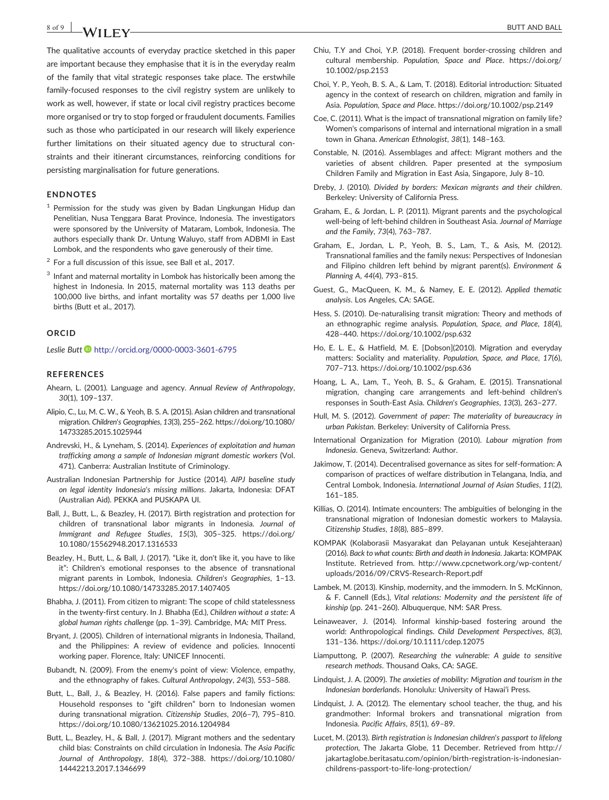$8 \text{ of } 9$  NA/H  $\Gamma$  N

The qualitative accounts of everyday practice sketched in this paper are important because they emphasise that it is in the everyday realm of the family that vital strategic responses take place. The erstwhile family‐focused responses to the civil registry system are unlikely to work as well, however, if state or local civil registry practices become more organised or try to stop forged or fraudulent documents. Families such as those who participated in our research will likely experience further limitations on their situated agency due to structural constraints and their itinerant circumstances, reinforcing conditions for persisting marginalisation for future generations.

#### ENDNOTES

- $1$  Permission for the study was given by Badan Lingkungan Hidup dan Penelitian, Nusa Tenggara Barat Province, Indonesia. The investigators were sponsored by the University of Mataram, Lombok, Indonesia. The authors especially thank Dr. Untung Waluyo, staff from ADBMI in East Lombok, and the respondents who gave generously of their time.
- $2$  For a full discussion of this issue, see Ball et al., 2017.
- <sup>3</sup> Infant and maternal mortality in Lombok has historically been among the highest in Indonesia. In 2015, maternal mortality was 113 deaths per 100,000 live births, and infant mortality was 57 deaths per 1,000 live births (Butt et al., 2017).

#### **ORCID**

Leslie Butt <http://orcid.org/0000-0003-3601-6795>

#### **REFERENCES**

- Ahearn, L. (2001). Language and agency. Annual Review of Anthropology, 30(1), 109–137.
- Alipio, C., Lu, M. C. W., & Yeoh, B. S. A. (2015). Asian children and transnational migration. Children's Geographies, 13(3), 255–262. [https://doi.org/10.1080/](https://doi.org/10.1080/14733285.2015.1025944) [14733285.2015.1025944](https://doi.org/10.1080/14733285.2015.1025944)
- Andrevski, H., & Lyneham, S. (2014). Experiences of exploitation and human trafficking among a sample of Indonesian migrant domestic workers (Vol. 471). Canberra: Australian Institute of Criminology.
- Australian Indonesian Partnership for Justice (2014). AIPJ baseline study on legal identity Indonesia's missing millions. Jakarta, Indonesia: DFAT (Australian Aid). PEKKA and PUSKAPA UI.
- Ball, J., Butt, L., & Beazley, H. (2017). Birth registration and protection for children of transnational labor migrants in Indonesia. Journal of Immigrant and Refugee Studies, 15(3), 305–325. [https://doi.org/](https://doi.org/10.1080/15562948.2017.1316533) [10.1080/15562948.2017.1316533](https://doi.org/10.1080/15562948.2017.1316533)
- Beazley, H., Butt, L., & Ball, J. (2017). "Like it, don't like it, you have to like it": Children's emotional responses to the absence of transnational migrant parents in Lombok, Indonesia. Children's Geographies, 1–13. <https://doi.org/10.1080/14733285.2017.1407405>
- Bhabha, J. (2011). From citizen to migrant: The scope of child statelessness in the twenty‐first century. In J. Bhabha (Ed.), Children without a state: A global human rights challenge (pp. 1–39). Cambridge, MA: MIT Press.
- Bryant, J. (2005). Children of international migrants in Indonesia, Thailand, and the Philippines: A review of evidence and policies. Innocenti working paper. Florence, Italy: UNICEF Innocenti.
- Bubandt, N. (2009). From the enemy's point of view: Violence, empathy, and the ethnography of fakes. Cultural Anthropology, 24(3), 553–588.
- Butt, L., Ball, J., & Beazley, H. (2016). False papers and family fictions: Household responses to "gift children" born to Indonesian women during transnational migration. Citizenship Studies, 20(6–7), 795–810. <https://doi.org/10.1080/13621025.2016.1204984>
- Butt, L., Beazley, H., & Ball, J. (2017). Migrant mothers and the sedentary child bias: Constraints on child circulation in Indonesia. The Asia Pacific Journal of Anthropology, 18(4), 372–388. [https://doi.org/10.1080/](https://doi.org/10.1080/14442213.2017.1346699) [14442213.2017.1346699](https://doi.org/10.1080/14442213.2017.1346699)
- Chiu, T.Y and Choi, Y.P. (2018). Frequent border‐crossing children and cultural membership. Population, Space and Place. [https://doi.org/](https://doi.org/10.1002/psp.2153) [10.1002/psp.2153](https://doi.org/10.1002/psp.2153)
- Choi, Y. P., Yeoh, B. S. A., & Lam, T. (2018). Editorial introduction: Situated agency in the context of research on children, migration and family in Asia. Population, Space and Place.<https://doi.org/10.1002/psp.2149>
- Coe, C. (2011). What is the impact of transnational migration on family life? Women's comparisons of internal and international migration in a small town in Ghana. American Ethnologist, 38(1), 148–163.
- Constable, N. (2016). Assemblages and affect: Migrant mothers and the varieties of absent children. Paper presented at the symposium Children Family and Migration in East Asia, Singapore, July 8–10.
- Dreby, J. (2010). Divided by borders: Mexican migrants and their children. Berkeley: University of California Press.
- Graham, E., & Jordan, L. P. (2011). Migrant parents and the psychological well-being of left-behind children in Southeast Asia. Journal of Marriage and the Family, 73(4), 763–787.
- Graham, E., Jordan, L. P., Yeoh, B. S., Lam, T., & Asis, M. (2012). Transnational families and the family nexus: Perspectives of Indonesian and Filipino children left behind by migrant parent(s). Environment & Planning A, 44(4), 793–815.
- Guest, G., MacQueen, K. M., & Namey, E. E. (2012). Applied thematic analysis. Los Angeles, CA: SAGE.
- Hess, S. (2010). De-naturalising transit migration: Theory and methods of an ethnographic regime analysis. Population, Space, and Place, 18(4), 428–440.<https://doi.org/10.1002/psp.632>
- Ho, E. L. E., & Hatfield, M. E. [Dobson](2010). Migration and everyday matters: Sociality and materiality. Population, Space, and Place, 17(6), 707–713.<https://doi.org/10.1002/psp.636>
- Hoang, L. A., Lam, T., Yeoh, B. S., & Graham, E. (2015). Transnational migration, changing care arrangements and left-behind children's responses in South‐East Asia. Children's Geographies, 13(3), 263–277.
- Hull, M. S. (2012). Government of paper: The materiality of bureaucracy in urban Pakistan. Berkeley: University of California Press.
- International Organization for Migration (2010). Labour migration from Indonesia. Geneva, Switzerland: Author.
- Jakimow, T. (2014). Decentralised governance as sites for self‐formation: A comparison of practices of welfare distribution in Telangana, India, and Central Lombok, Indonesia. International Journal of Asian Studies, 11(2), 161–185.
- Killias, O. (2014). Intimate encounters: The ambiguities of belonging in the transnational migration of Indonesian domestic workers to Malaysia. Citizenship Studies, 18(8), 885–899.
- KOMPAK (Kolaborasii Masyarakat dan Pelayanan untuk Kesejahteraan) (2016). Back to what counts: Birth and death in Indonesia. Jakarta: KOMPAK Institute. Retrieved from. [http://www.cpcnetwork.org/wp](http://www.cpcnetwork.org/wp-content/uploads/2016/09/CRVS-Research-Report.pdf)‐content/ [uploads/2016/09/CRVS](http://www.cpcnetwork.org/wp-content/uploads/2016/09/CRVS-Research-Report.pdf)‐Research‐Report.pdf
- Lambek, M. (2013). Kinship, modernity, and the immodern. In S. McKinnon, & F. Cannell (Eds.), Vital relations: Modernity and the persistent life of kinship (pp. 241–260). Albuquerque, NM: SAR Press.
- Leinaweaver, J. (2014). Informal kinship-based fostering around the world: Anthropological findings. Child Development Perspectives, 8(3), 131–136.<https://doi.org/10.1111/cdep.12075>
- Liamputtong, P. (2007). Researching the vulnerable: A guide to sensitive research methods. Thousand Oaks, CA: SAGE.
- Lindquist, J. A. (2009). The anxieties of mobility: Migration and tourism in the Indonesian borderlands. Honolulu: University of Hawaiʻi Press.
- Lindquist, J. A. (2012). The elementary school teacher, the thug, and his grandmother: Informal brokers and transnational migration from Indonesia. Pacific Affairs, 85(1), 69–89.
- Lucet, M. (2013). Birth registration is Indonesian children's passport to lifelong protection, The Jakarta Globe, 11 December. Retrieved from [http://](http://jakartaglobe.beritasatu.com/opinion/birth-registration-is-indonesian-childrens-passport-to-life-long-protection/) [jakartaglobe.beritasatu.com/opinion/birth](http://jakartaglobe.beritasatu.com/opinion/birth-registration-is-indonesian-childrens-passport-to-life-long-protection/)‐registration‐is‐indonesian‐ childrens‐passport‐to‐life‐long‐[protection/](http://jakartaglobe.beritasatu.com/opinion/birth-registration-is-indonesian-childrens-passport-to-life-long-protection/)